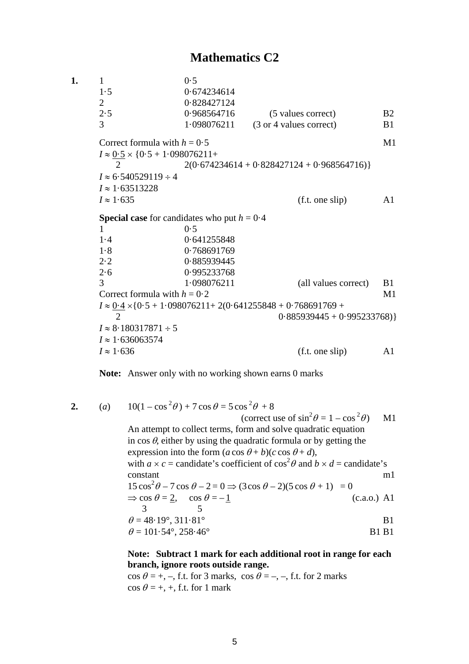# **Mathematics C2**

**1.** 1 0·5 1·5 0·674234614 2 0·828427124 2·5 0·968564716 (5 values correct) B2 3 1·098076211 (3 or 4 values correct) B1 Correct formula with  $h = 0.5$  M1  $I \approx 0.5 \times \{0.5 + 1.098076211 +$ 2 2(0.674234614 + 0.828427124 + 0.968564716)}  $I \approx 6.540529119 \div 4$ *I* ≈ 1·63513228  $I \approx 1.635$  (f.t. one slip) A1 **Special case** for candidates who put  $h = 0.4$  $1 \hspace{3.1em} 0.5$ 1·4 0·641255848 1·8 0·768691769 2·2 0·885939445 2·6 0·995233768 3 1·098076211 (all values correct) B1 Correct formula with  $h = 0.2$  M1  $I \approx 0.4 \times \{0.5 + 1.098076211 + 2(0.641255848 + 0.768691769 + 1.098076211 + 1.098076211 + 1.098076211 + 1.098076211 + 1.098076211 + 1.098076211 + 1.098076211 + 1.098076211 + 1.098076211 + 1.098076211 + 1.098076211 + 1.098076211 + 1.09807$ 2 0.885939445 + 0.995233768)}  $I \approx 8.180317871 \div 5$ *I* ≈ 1·636063574  $I \approx 1.636$  (f.t. one slip) A1

**Note:** Answer only with no working shown earns 0 marks

$$
2. \qquad \qquad
$$

**2.** (*a*)  $10(1 - \cos^2 \theta) + 7 \cos \theta = 5 \cos^2 \theta + 8$ (correct use of  $\sin^2 \theta = 1 - \cos^2 \theta$ ) M1 An attempt to collect terms, form and solve quadratic equation in  $\cos \theta$ , either by using the quadratic formula or by getting the expression into the form  $(a \cos \theta + b)(c \cos \theta + d)$ , with  $a \times c$  = candidate's coefficient of  $\cos^2 \theta$  and  $b \times d$  = candidate's constant m1  $15\cos^2\theta - 7\cos\theta - 2 = 0 \Rightarrow (3\cos\theta - 2)(5\cos\theta + 1) = 0$  $\Rightarrow$  cos  $\theta = 2$ , cos  $\theta = -1$  (c.a.o.) A1 3 5  $\theta = 48.19^{\circ}, 311.81^{\circ}$  B1  $\theta = 101.54^{\circ}, 258.46^{\circ}$  B1 B1

> **Note: Subtract 1 mark for each additional root in range for each branch, ignore roots outside range.**

 $\cos \theta = +, -$ , f.t. for 3 marks,  $\cos \theta = -, -$ , f.t. for 2 marks  $\cos \theta = +$ , +, f.t. for 1 mark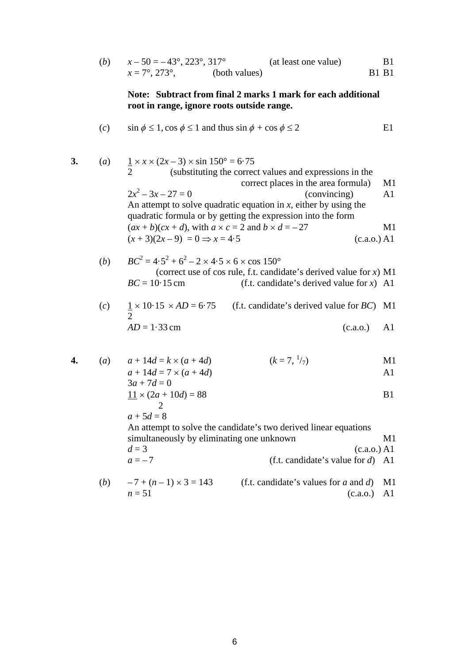| $x-50=-43^{\circ}, 223^{\circ}, 317^{\circ}$ |               | (at least one value) | <b>B</b> 1   |
|----------------------------------------------|---------------|----------------------|--------------|
| $x = 7^{\circ}, 273^{\circ},$                | (both values) |                      | <b>B1 B1</b> |

## **Note: Subtract from final 2 marks 1 mark for each additional root in range, ignore roots outside range.**

(*c*) sin  $\phi \le 1$ , cos  $\phi \le 1$  and thus sin  $\phi + \cos \phi \le 2$  E1

3. (a) 
$$
\frac{1}{2} \times x \times (2x-3) \times \sin 150^{\circ} = 6.75
$$
  
\n2 (substituting the correct values and expressions in the correct places in the area formula)  
\n(b) 
$$
2x^2 - 3x - 27 = 0
$$
  
\n(b) 
$$
2x^2 - 3x - 27 = 0
$$
  
\n4. (conving) All (conving) All (conving) All (conving) All (in the image) All (in the image) and 
$$
2x + b)(cx + d),
$$
 with 
$$
a \times c = 2
$$
 and 
$$
b \times d = -27
$$
  
\n5. (a) All (b) 
$$
BC^2 = 4.5^2 + 6^2 - 2 \times 4.5 \times 6 \times \cos 150^{\circ}
$$
  
\n6. (correct use of cos rule, f.t. candidate's derived value for x) All (in the image) and (in the image) and (in the image) and (in the image) and (in the image) and (in the image) and (in the image) and (in the image) and (in the image) and (in the image) and (in the image) and (in the image) and (in the image) and (in the image) and (in the image) and (in the image) and (in the image) and (in the image) and (in the image) and (in the image) and (in the image) and (in the image) and (in the image) and (in the image) and (in the image) and (in the image) and (in the image) and (in the image) and (in the image) and (in the image) and (in the image) and (in the image) and (in the image) and (in the image) and (in the image) and (in the image) and (in the image) and (in the image) and (in the image) and (in the image) and (in the image) and (in the image) and (in the image) and (in the image) and (in the image) and (in the image) and (in the image) and (in the image) and (in the image) and (in the image) and (in the image) and (in the image) and (in the image) and (in the image) and (in the image) and (in the image) and (in the image) and (in the image) and (in the image) and (in the image) and (in the image) and (in the image) and (in the image) and (in the image) and (in the image) and (in the image) and (in the image) and (in the image) and (in the image) and (in the image) and (in the image) and (in the image) and (in the image) and (in the image) and (in the image) and (in the image) and (in the image) and (

 $n = 51$  (c.a.o.) A1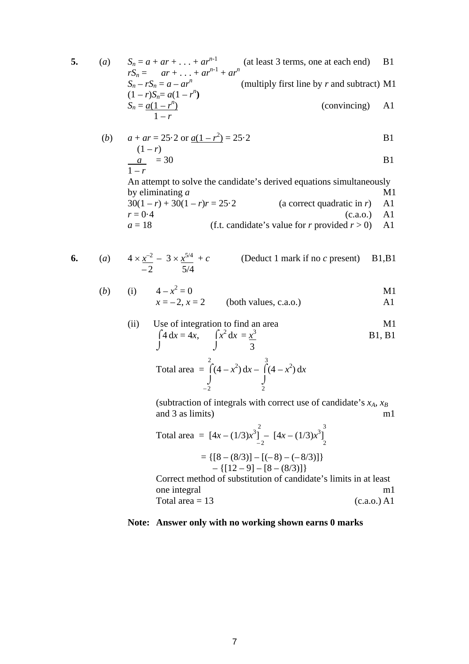5. (a) 
$$
S_n = a + ar + \dots + ar^{n-1}
$$
 (at least 3 terms, one at each end) B1  
\n
$$
rS_n = ar + \dots + ar^{n-1} + ar^n
$$
  
\n
$$
S_n - rS_n = a - ar^n
$$
 (multiply first line by *r* and subtract) M1  
\n
$$
(1 - r)S_n = a(1 - r^n)
$$
  
\n
$$
S_n = \frac{a(1 - r^n)}{1 - r}
$$
 (convincing) A1

(b) 
$$
a + ar = 25.2
$$
 or  $\underline{a(1 - r^2)} = 25.2$  B1

$$
\frac{a}{1-r} = 30
$$
 B1

An attempt to solve the candidate's derived equations simultaneously by eliminating *a* M1

$$
30(1 - r) + 30(1 - r)r = 25.2
$$
 (a correct quadratic in r) A1  
(c.a.o.) A1  
(d.e.) (a con-  
(e.a.o.) A1  
(e.a.o.) A1  
(f.t. candidate's value for r provided r > 0) A1

$$
\mathcal{L}^{\mathcal{U}}
$$

6. (a) 
$$
4 \times \frac{x^{-2}}{2} - 3 \times \frac{x^{5/4}}{5/4} + c
$$
 (Deduct 1 mark if no *c* present) B1,B1

(b) (i) 
$$
4-x^2 = 0
$$
  
\n $x = -2, x = 2$  (both values, c.a.o.)  
\n**M1**  
\n**M1**

#### (ii) Use of integration to find an area M1  $\int 4 dx = 4x, \qquad \int x^2 dx = \frac{x^3}{2}$ B1, B1

$$
\int 4 dx = 4x, \qquad \int x dx = \frac{x}{3}
$$

Total area 
$$
=
$$
  $\int_{-2}^{2} (4 - x^2) dx - \int_{2}^{3} (4 - x^2) dx$ 

(subtraction of integrals with correct use of candidate's *xA*, *xB* and  $3$  as limits) m1

Total area = 
$$
[4x - (1/3)x^3]_{-2}^2 - [4x - (1/3)x^3]_{2}^3
$$
  
\n= { $[8 - (8/3)] - [(-8) - (-8/3)]$ }  
\n- { $[12 - 9] - [8 - (8/3)]$ }

Correct method of substitution of candidate's limits in at least one integral m1 Total area  $= 13$  (c.a.o.) A1

### **Note: Answer only with no working shown earns 0 marks**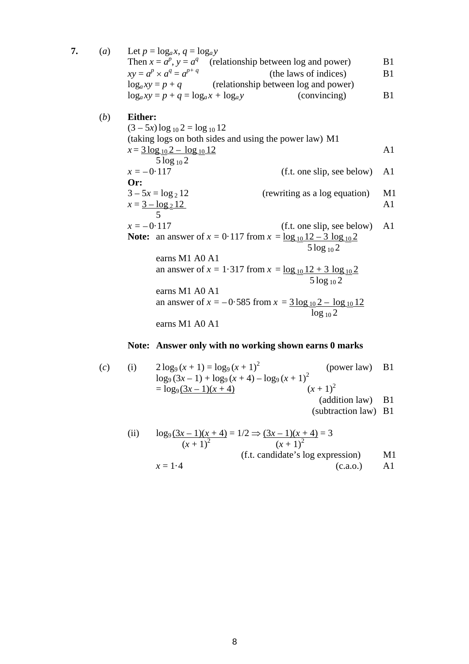7. (*a*) Let  $p = log_a x$ ,  $q = log_a y$ Then  $x = a^p$ ,  $y = a^q$  (relationship between log and power) B1  $xy = a^p \times a^q = a^{p+q}$ (the laws of indices) B1  $log_a xy = p + q$ (relationship between log and power)  $\log_a xy = p + q = \log_a x + \log_a y$  (convincing) B1 (*b*) **Either:**  $(3 - 5x) \log_{10} 2 = \log_{10} 12$ (taking logs on both sides and using the power law) M1  $x = 3 \log_{10} 2 - \log_{10} 12$  A1 5 log <sup>10</sup> 2  $x = -0.117$  (f.t. one slip, see below) A1 **Or:**   $3 - 5x = log_2 12$  (rewriting as a log equation) M1  $x = 3 - \log_2 12$  A1 5  $x = -0.117$  (f.t. one slip, see below) A1 **Note:** an answer of  $x = 0.117$  from  $x = \log_{10} 12 - 3 \log_{10} 2$  $5 \log_{10} 2$ earns M1 A0 A1 an answer of  $x = 1.317$  from  $x = \log_{10} 12 + 3 \log_{10} 2$  5 log <sup>10</sup> 2 earns M1 A0 A1 an answer of  $x = -0.585$  from  $x = 3 \log_{10} 2 - \log_{10} 12$  $\log_{10} 2$ earns M1 A0 A1

### **Note: Answer only with no working shown earns 0 marks**

(*c*) (i)  $2 \log_9 (x+1) = \log_9 (x+1)^2$ (power law) B1  $\log_9 (3x-1) + \log_9 (x+4) - \log_9 (x+1)^2$  $=$  log<sub>9</sub> (3*x* – 1)(*x* + 4)  $(x+1)^2$ (addition law) B1 (subtraction law) B1 (ii)  $\log_9 (3x-1)(x+4) = 1/2 \Rightarrow (3x-1)(x+4) = 3$  $(x+1)^2$   $(x+1)^2$ (f.t. candidate's log expression) M1  $x = 1.4$  (c.a.o.) A1